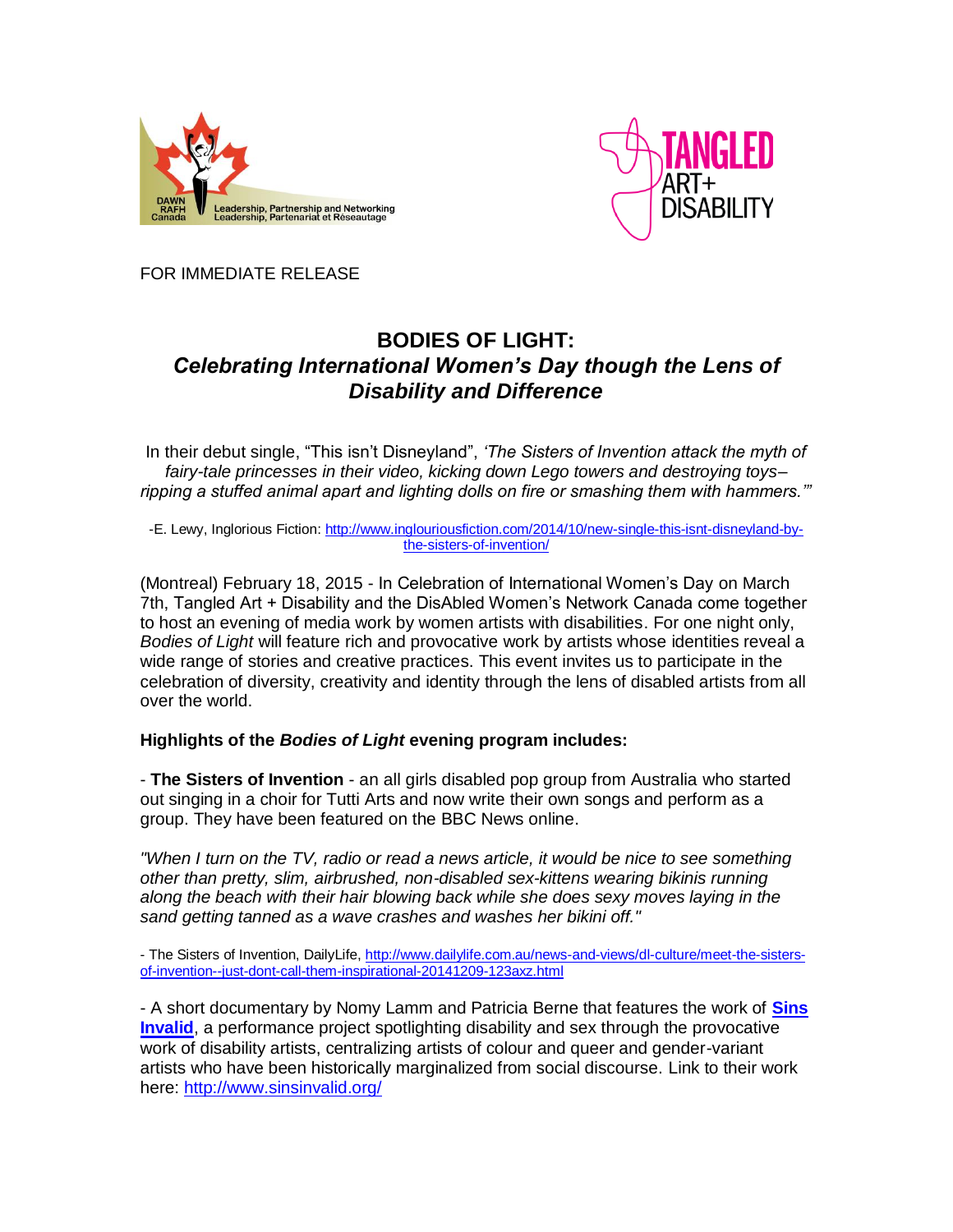



FOR IMMEDIATE RELEASE

# **BODIES OF LIGHT:** *Celebrating International Women's Day though the Lens of Disability and Difference*

In their debut single, "This isn't Disneyland", *'The Sisters of Invention attack the myth of fairy-tale princesses in their video, kicking down Lego towers and destroying toys– ripping a stuffed animal apart and lighting dolls on fire or smashing them with hammers.'"*

-E. Lewy, Inglorious Fiction: [http://www.inglouriousfiction.com/2014/10/new-single-this-isnt-disneyland-by](http://www.inglouriousfiction.com/2014/10/new-single-this-isnt-disneyland-by-the-sisters-of-invention/)[the-sisters-of-invention/](http://www.inglouriousfiction.com/2014/10/new-single-this-isnt-disneyland-by-the-sisters-of-invention/)

(Montreal) February 18, 2015 - In Celebration of International Women's Day on March 7th, Tangled Art + Disability and the DisAbled Women's Network Canada come together to host an evening of media work by women artists with disabilities. For one night only, *Bodies of Light* will feature rich and provocative work by artists whose identities reveal a wide range of stories and creative practices. This event invites us to participate in the celebration of diversity, creativity and identity through the lens of disabled artists from all over the world.

# **Highlights of the** *Bodies of Light* **evening program includes:**

- **The Sisters of Invention** - an all girls disabled pop group from Australia who started out singing in a choir for Tutti Arts and now write their own songs and perform as a group. They have been featured on the BBC News online.

*"When I turn on the TV, radio or read a news article, it would be nice to see something other than pretty, slim, airbrushed, non-disabled sex-kittens wearing bikinis running along the beach with their hair blowing back while she does sexy moves laying in the sand getting tanned as a wave crashes and washes her bikini off."*

- The Sisters of Invention, DailyLife[, http://www.dailylife.com.au/news-and-views/dl-culture/meet-the-sisters](http://www.dailylife.com.au/news-and-views/dl-culture/meet-the-sisters-of-invention--just-dont-call-them-inspirational-20141209-123axz.html)[of-invention--just-dont-call-them-inspirational-20141209-123axz.html](http://www.dailylife.com.au/news-and-views/dl-culture/meet-the-sisters-of-invention--just-dont-call-them-inspirational-20141209-123axz.html)

- A short documentary by Nomy Lamm and Patricia Berne that features the work of **[Sins](http://www.sinsinvalid.org/)  [Invalid](http://www.sinsinvalid.org/)**, a performance project spotlighting disability and sex through the provocative work of disability artists, centralizing artists of colour and queer and gender-variant artists who have been historically marginalized from social discourse. Link to their work here:<http://www.sinsinvalid.org/>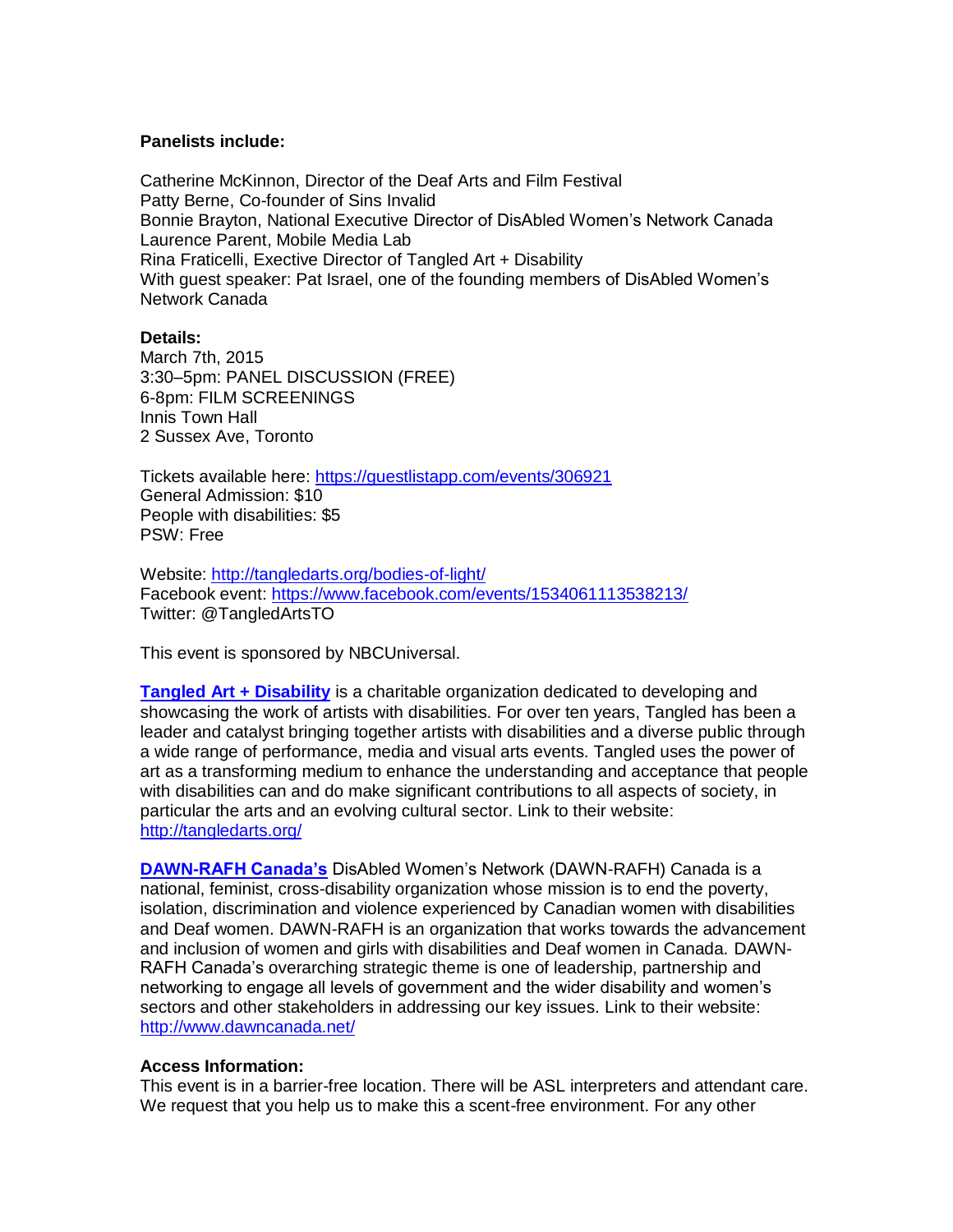### **Panelists include:**

Catherine McKinnon, Director of the Deaf Arts and Film Festival Patty Berne, Co-founder of Sins Invalid Bonnie Brayton, National Executive Director of DisAbled Women's Network Canada Laurence Parent, Mobile Media Lab Rina Fraticelli, Exective Director of Tangled Art + Disability With guest speaker: Pat Israel, one of the founding members of DisAbled Women's Network Canada

### **Details:**

March 7th, 2015 3:30–5pm: PANEL DISCUSSION (FREE) 6-8pm: FILM SCREENINGS Innis Town Hall 2 Sussex Ave, Toronto

Tickets available here:<https://guestlistapp.com/events/306921> General Admission: \$10 People with disabilities: \$5 PSW: Free

Website:<http://tangledarts.org/bodies-of-light/> Facebook event:<https://www.facebook.com/events/1534061113538213/> Twitter: @TangledArtsTO

This event is sponsored by NBCUniversal.

**[Tangled Art +](http://tangledarts.org/) Disability** is a charitable organization dedicated to developing and showcasing the work of artists with disabilities. For over ten years, Tangled has been a leader and catalyst bringing together artists with disabilities and a diverse public through a wide range of performance, media and visual arts events. Tangled uses the power of art as a transforming medium to enhance the understanding and acceptance that people with disabilities can and do make significant contributions to all aspects of society, in particular the arts and an evolving cultural sector. Link to their website: <http://tangledarts.org/>

**[DAWN-RAFH Canada's](http://www.dawncanada.net/)** DisAbled Women's Network (DAWN-RAFH) Canada is a national, feminist, cross-disability organization whose mission is to end the poverty, isolation, discrimination and violence experienced by Canadian women with disabilities and Deaf women. DAWN-RAFH is an organization that works towards the advancement and inclusion of women and girls with disabilities and Deaf women in Canada. DAWN-RAFH Canada's overarching strategic theme is one of leadership, partnership and networking to engage all levels of government and the wider disability and women's sectors and other stakeholders in addressing our key issues. Link to their website: <http://www.dawncanada.net/>

# **Access Information:**

This event is in a barrier-free location. There will be ASL interpreters and attendant care. We request that you help us to make this a scent-free environment. For any other